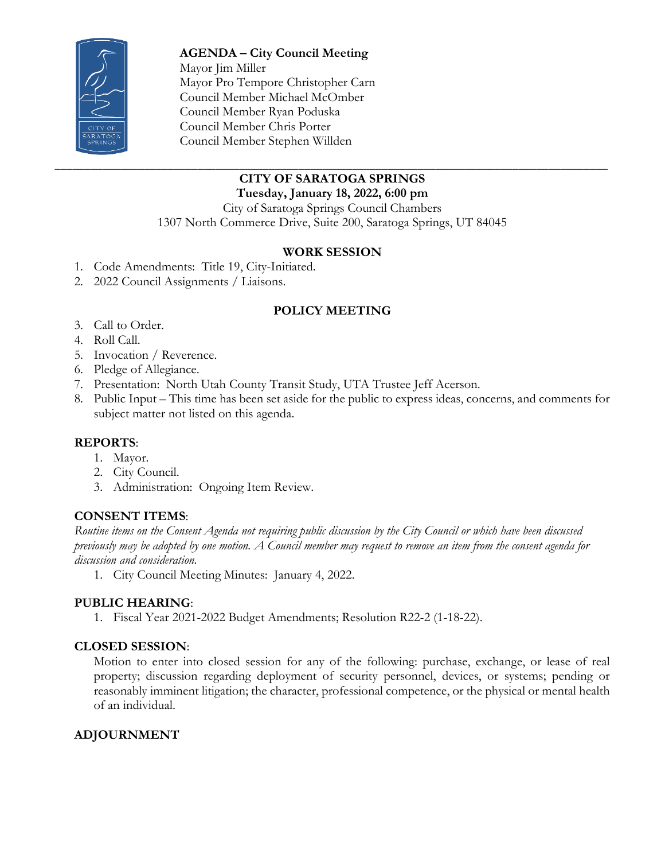

**AGENDA – City Council Meeting**  Mayor Jim Miller Mayor Pro Tempore Christopher Carn Council Member Michael McOmber Council Member Ryan Poduska Council Member Chris Porter Council Member Stephen Willden

#### \_\_\_\_\_\_\_\_\_\_\_\_\_\_\_\_\_\_\_\_\_\_\_\_\_\_\_\_\_\_\_\_\_\_\_\_\_\_\_\_\_\_\_\_\_\_\_\_\_\_\_\_\_\_\_\_\_\_\_\_\_\_\_\_\_\_\_\_\_\_\_\_\_\_\_\_\_\_\_\_\_\_\_\_\_\_\_\_\_\_\_\_\_ **CITY OF SARATOGA SPRINGS**

**Tuesday, January 18, 2022, 6:00 pm**

City of Saratoga Springs Council Chambers 1307 North Commerce Drive, Suite 200, Saratoga Springs, UT 84045

## **WORK SESSION**

- 1. Code Amendments: Title 19, City-Initiated.
- 2. 2022 Council Assignments / Liaisons.

# **POLICY MEETING**

- 3. Call to Order.
- 4. Roll Call.
- 5. Invocation / Reverence.
- 6. Pledge of Allegiance.
- 7. Presentation: North Utah County Transit Study, UTA Trustee Jeff Acerson.
- 8. Public Input This time has been set aside for the public to express ideas, concerns, and comments for subject matter not listed on this agenda.

### **REPORTS**:

- 1. Mayor.
- 2. City Council.
- 3. Administration: Ongoing Item Review.

### **CONSENT ITEMS**:

*Routine items on the Consent Agenda not requiring public discussion by the City Council or which have been discussed previously may be adopted by one motion. A Council member may request to remove an item from the consent agenda for discussion and consideration.*

1. City Council Meeting Minutes: January 4, 2022.

### **PUBLIC HEARING**:

1. Fiscal Year 2021-2022 Budget Amendments; Resolution R22-2 (1-18-22).

### **CLOSED SESSION**:

Motion to enter into closed session for any of the following: purchase, exchange, or lease of real property; discussion regarding deployment of security personnel, devices, or systems; pending or reasonably imminent litigation; the character, professional competence, or the physical or mental health of an individual.

### **ADJOURNMENT**